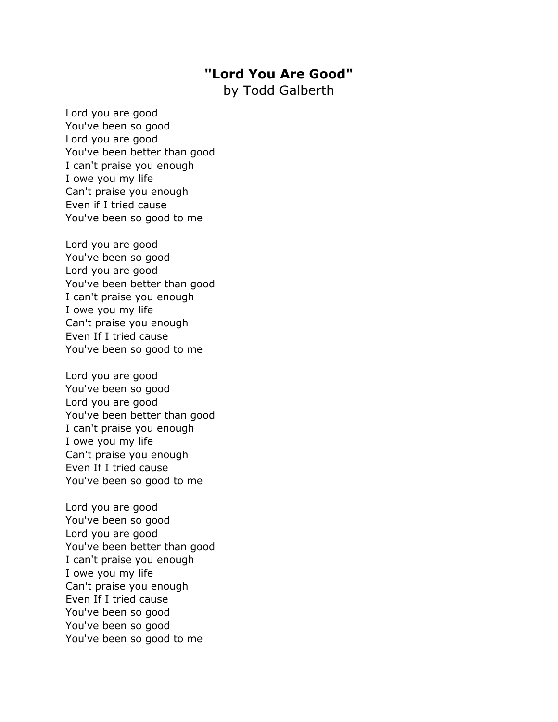## **"Lord You Are Good"**

by Todd Galberth

Lord you are good You've been so good Lord you are good You've been better than good I can't praise you enough I owe you my life Can't praise you enough Even if I tried cause You've been so good to me

Lord you are good You've been so good Lord you are good You've been better than good I can't praise you enough I owe you my life Can't praise you enough Even If I tried cause You've been so good to me

Lord you are good You've been so good Lord you are good You've been better than good I can't praise you enough I owe you my life Can't praise you enough Even If I tried cause You've been so good to me

Lord you are good You've been so good Lord you are good You've been better than good I can't praise you enough I owe you my life Can't praise you enough Even If I tried cause You've been so good You've been so good You've been so good to me